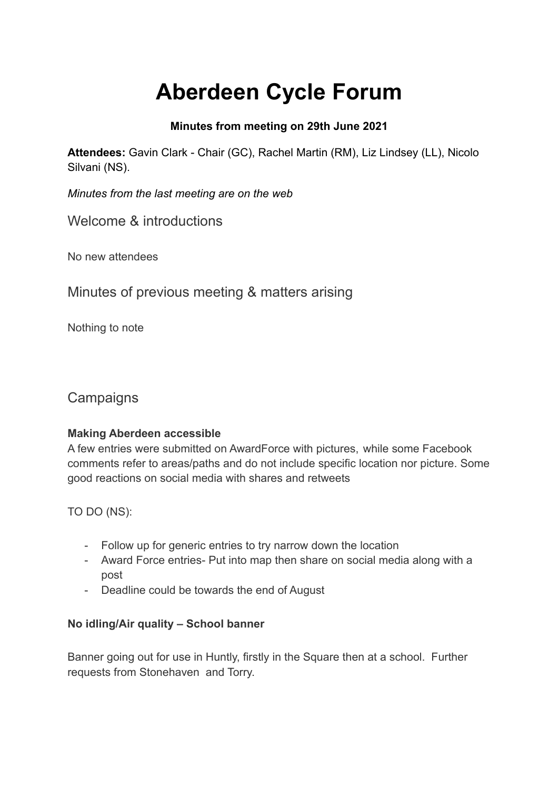# **Aberdeen Cycle Forum**

## **Minutes from meeting on 29th June 2021**

**Attendees:** Gavin Clark - Chair (GC), Rachel Martin (RM), Liz Lindsey (LL), Nicolo Silvani (NS).

*Minutes from the last meeting are on the web*

Welcome & introductions

No new attendees

Minutes of previous meeting & matters arising

Nothing to note

## **Campaigns**

## **Making Aberdeen accessible**

A few entries were submitted on AwardForce with pictures, while some Facebook comments refer to areas/paths and do not include specific location nor picture. Some good reactions on social media with shares and retweets

TO DO (NS):

- Follow up for generic entries to try narrow down the location
- Award Force entries- Put into map then share on social media along with a post
- Deadline could be towards the end of August

## **No idling/Air quality – School banner**

Banner going out for use in Huntly, firstly in the Square then at a school. Further requests from Stonehaven and Torry.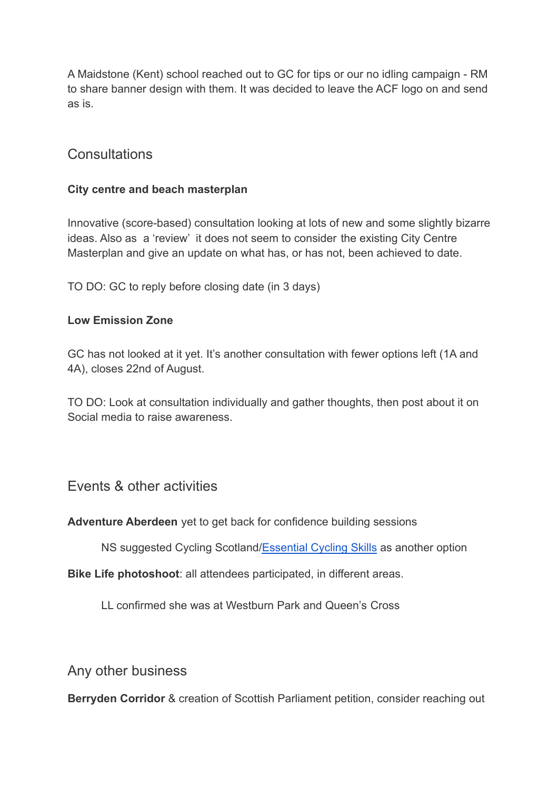A Maidstone (Kent) school reached out to GC for tips or our no idling campaign - RM to share banner design with them. It was decided to leave the ACF logo on and send as is.

## **Consultations**

### **City centre and beach masterplan**

Innovative (score-based) consultation looking at lots of new and some slightly bizarre ideas. Also as a 'review' it does not seem to consider the existing City Centre Masterplan and give an update on what has, or has not, been achieved to date.

TO DO: GC to reply before closing date (in 3 days)

#### **Low Emission Zone**

GC has not looked at it yet. It's another consultation with fewer options left (1A and 4A), closes 22nd of August.

TO DO: Look at consultation individually and gather thoughts, then post about it on Social media to raise awareness.

## Events & other activities

#### **Adventure Aberdeen** yet to get back for confidence building sessions

NS suggested Cycling Scotland[/Essential Cycling Skills](https://www.cycling.scot/what-we-do/training/essential-cycling-skills) as another option

**Bike Life photoshoot**: all attendees participated, in different areas.

LL confirmed she was at Westburn Park and Queen's Cross

Any other business

**Berryden Corridor** & creation of Scottish Parliament petition, consider reaching out